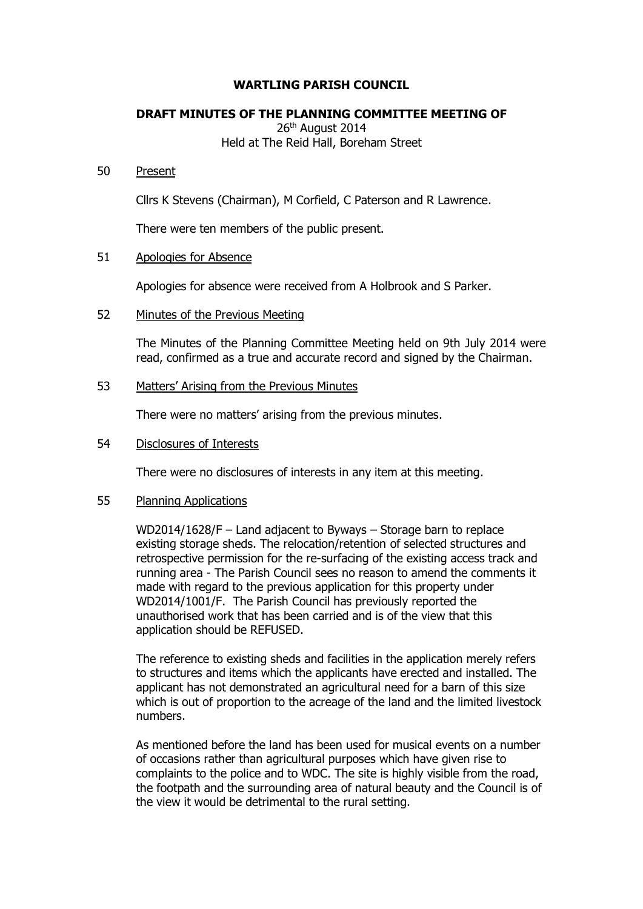## **WARTLING PARISH COUNCIL**

# **DRAFT MINUTES OF THE PLANNING COMMITTEE MEETING OF**

26<sup>th</sup> August 2014 Held at The Reid Hall, Boreham Street

#### 50 Present

Cllrs K Stevens (Chairman), M Corfield, C Paterson and R Lawrence.

There were ten members of the public present.

## 51 Apologies for Absence

Apologies for absence were received from A Holbrook and S Parker.

## 52 Minutes of the Previous Meeting

The Minutes of the Planning Committee Meeting held on 9th July 2014 were read, confirmed as a true and accurate record and signed by the Chairman.

## 53 Matters' Arising from the Previous Minutes

There were no matters' arising from the previous minutes.

# 54 Disclosures of Interests

There were no disclosures of interests in any item at this meeting.

#### 55 Planning Applications

WD2014/1628/F – Land adjacent to Byways – Storage barn to replace existing storage sheds. The relocation/retention of selected structures and retrospective permission for the re-surfacing of the existing access track and running area - The Parish Council sees no reason to amend the comments it made with regard to the previous application for this property under WD2014/1001/F. The Parish Council has previously reported the unauthorised work that has been carried and is of the view that this application should be REFUSED.

The reference to existing sheds and facilities in the application merely refers to structures and items which the applicants have erected and installed. The applicant has not demonstrated an agricultural need for a barn of this size which is out of proportion to the acreage of the land and the limited livestock numbers.

As mentioned before the land has been used for musical events on a number of occasions rather than agricultural purposes which have given rise to complaints to the police and to WDC. The site is highly visible from the road, the footpath and the surrounding area of natural beauty and the Council is of the view it would be detrimental to the rural setting.